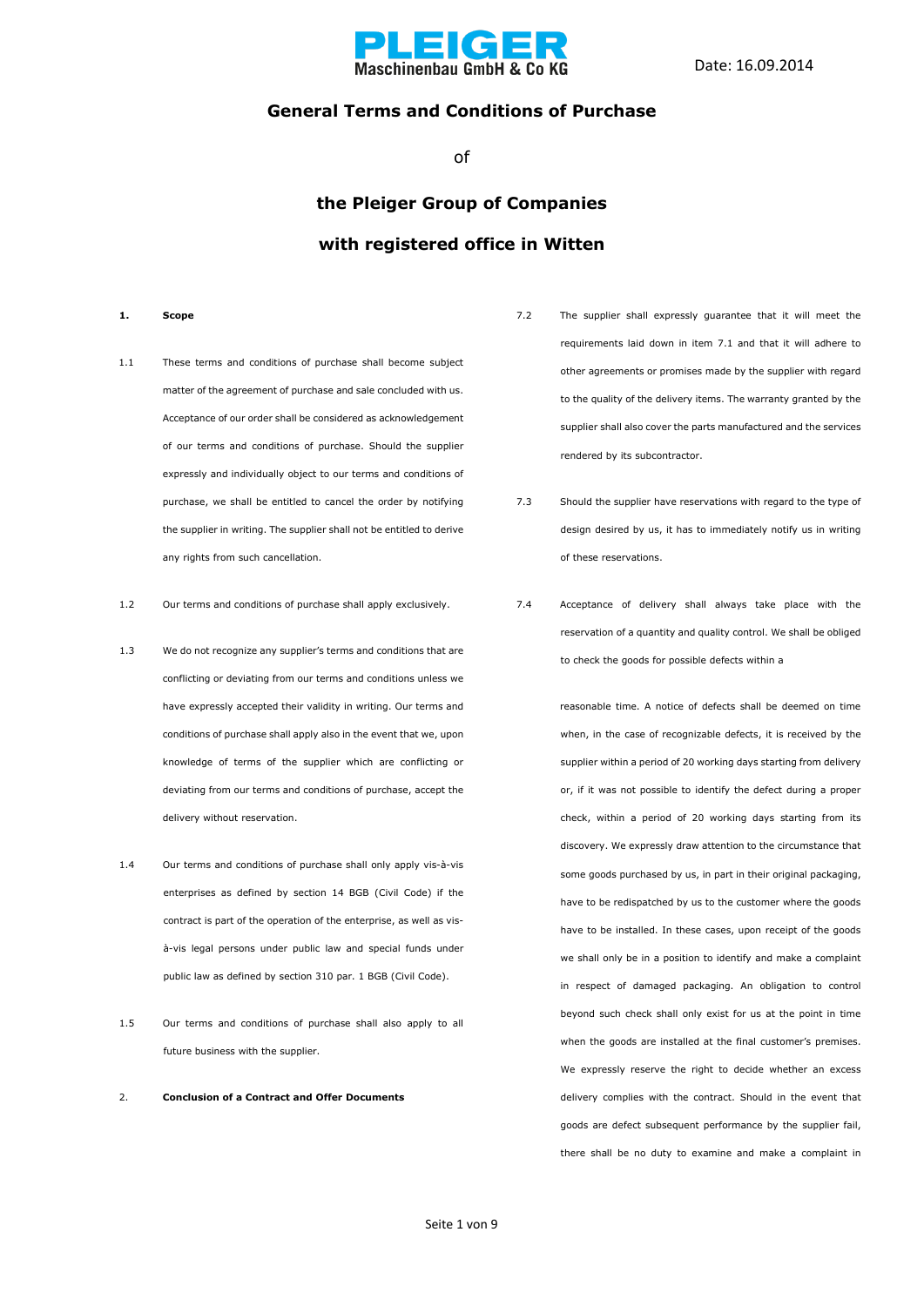

### **General Terms and Conditions of Purchase**

of

### **the Pleiger Group of Companies with registered office in Witten**

- **1. Scope**
- 1.1 These terms and conditions of purchase shall become subject matter of the agreement of purchase and sale concluded with us. Acceptance of our order shall be considered as acknowledgement of our terms and conditions of purchase. Should the supplier expressly and individually object to our terms and conditions of purchase, we shall be entitled to cancel the order by notifying the supplier in writing. The supplier shall not be entitled to derive any rights from such cancellation.
- 1.2 Our terms and conditions of purchase shall apply exclusively.
- 1.3 We do not recognize any supplier's terms and conditions that are conflicting or deviating from our terms and conditions unless we have expressly accepted their validity in writing. Our terms and conditions of purchase shall apply also in the event that we, upon knowledge of terms of the supplier which are conflicting or deviating from our terms and conditions of purchase, accept the delivery without reservation.
- 1.4 Our terms and conditions of purchase shall only apply vis-à-vis enterprises as defined by section 14 BGB (Civil Code) if the contract is part of the operation of the enterprise, as well as visà-vis legal persons under public law and special funds under public law as defined by section 310 par. 1 BGB (Civil Code).
- 1.5 Our terms and conditions of purchase shall also apply to all future business with the supplier.
- 2. **Conclusion of a Contract and Offer Documents**
- 7.2 The supplier shall expressly guarantee that it will meet the requirements laid down in item 7.1 and that it will adhere to other agreements or promises made by the supplier with regard to the quality of the delivery items. The warranty granted by the supplier shall also cover the parts manufactured and the services rendered by its subcontractor.
- 7.3 Should the supplier have reservations with regard to the type of design desired by us, it has to immediately notify us in writing of these reservations.
- 7.4 Acceptance of delivery shall always take place with the reservation of a quantity and quality control. We shall be obliged to check the goods for possible defects within a

reasonable time. A notice of defects shall be deemed on time when, in the case of recognizable defects, it is received by the supplier within a period of 20 working days starting from delivery or, if it was not possible to identify the defect during a proper check, within a period of 20 working days starting from its discovery. We expressly draw attention to the circumstance that some goods purchased by us, in part in their original packaging, have to be redispatched by us to the customer where the goods have to be installed. In these cases, upon receipt of the goods we shall only be in a position to identify and make a complaint in respect of damaged packaging. An obligation to control beyond such check shall only exist for us at the point in time when the goods are installed at the final customer's premises. We expressly reserve the right to decide whether an excess delivery complies with the contract. Should in the event that goods are defect subsequent performance by the supplier fail, there shall be no duty to examine and make a complaint in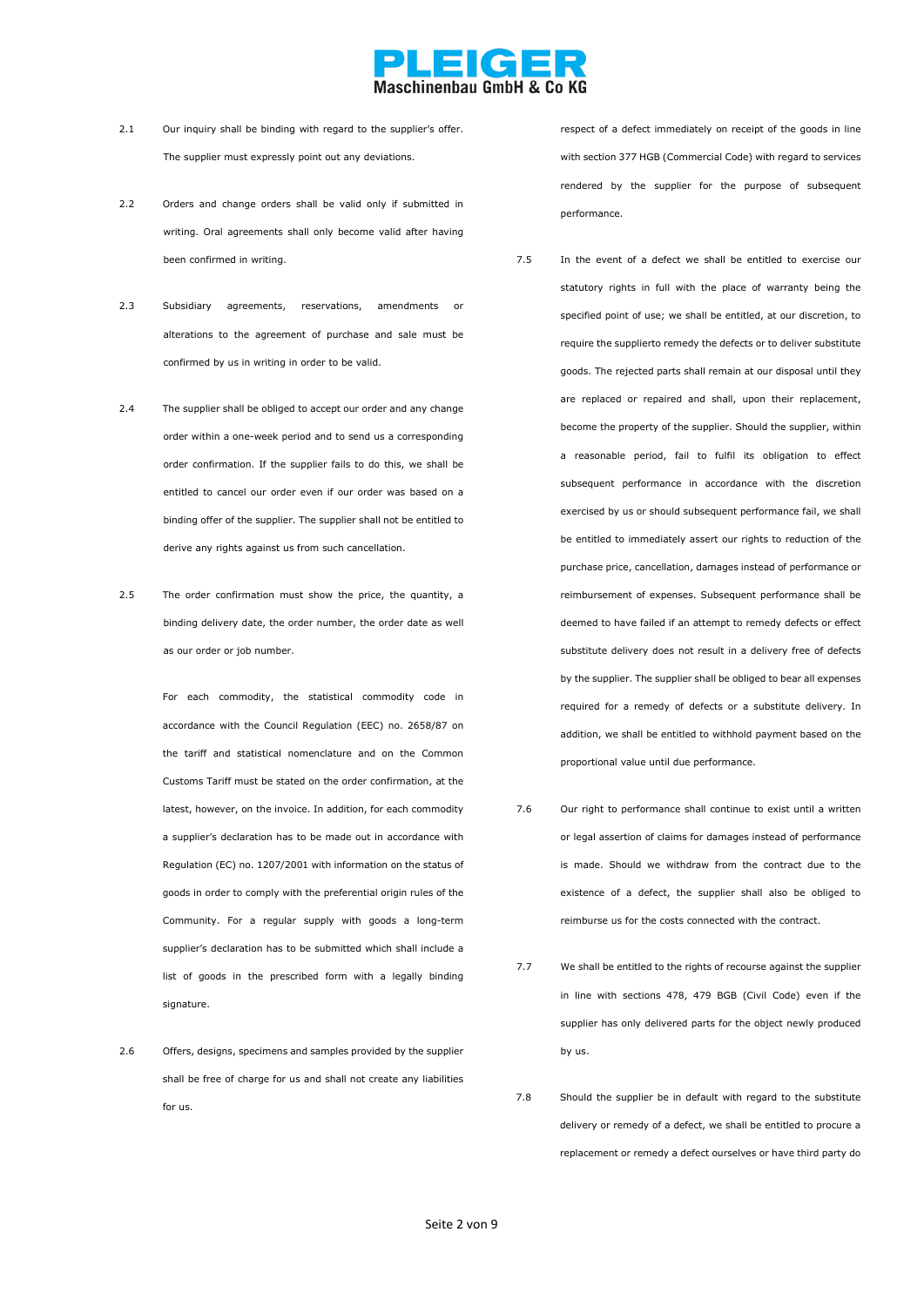

- 2.1 Our inquiry shall be binding with regard to the supplier's offer. The supplier must expressly point out any deviations.
- 2.2 Orders and change orders shall be valid only if submitted in writing. Oral agreements shall only become valid after having been confirmed in writing.
- 2.3 Subsidiary agreements, reservations, amendments or alterations to the agreement of purchase and sale must be confirmed by us in writing in order to be valid.
- 2.4 The supplier shall be obliged to accept our order and any change order within a one-week period and to send us a corresponding order confirmation. If the supplier fails to do this, we shall be entitled to cancel our order even if our order was based on a binding offer of the supplier. The supplier shall not be entitled to derive any rights against us from such cancellation.
- 2.5 The order confirmation must show the price, the quantity, a binding delivery date, the order number, the order date as well as our order or job number.

For each commodity, the statistical commodity code in accordance with the Council Regulation (EEC) no. 2658/87 on the tariff and statistical nomenclature and on the Common Customs Tariff must be stated on the order confirmation, at the latest, however, on the invoice. In addition, for each commodity a supplier's declaration has to be made out in accordance with Regulation (EC) no. 1207/2001 with information on the status of goods in order to comply with the preferential origin rules of the Community. For a regular supply with goods a long-term supplier's declaration has to be submitted which shall include a list of goods in the prescribed form with a legally binding signature.

2.6 Offers, designs, specimens and samples provided by the supplier shall be free of charge for us and shall not create any liabilities for us.

respect of a defect immediately on receipt of the goods in line with section 377 HGB (Commercial Code) with regard to services rendered by the supplier for the purpose of subsequent performance.

- 7.5 In the event of a defect we shall be entitled to exercise our statutory rights in full with the place of warranty being the specified point of use; we shall be entitled, at our discretion, to require the supplierto remedy the defects or to deliver substitute goods. The rejected parts shall remain at our disposal until they are replaced or repaired and shall, upon their replacement, become the property of the supplier. Should the supplier, within a reasonable period, fail to fulfil its obligation to effect subsequent performance in accordance with the discretion exercised by us or should subsequent performance fail, we shall be entitled to immediately assert our rights to reduction of the purchase price, cancellation, damages instead of performance or reimbursement of expenses. Subsequent performance shall be deemed to have failed if an attempt to remedy defects or effect substitute delivery does not result in a delivery free of defects by the supplier. The supplier shall be obliged to bear all expenses required for a remedy of defects or a substitute delivery. In addition, we shall be entitled to withhold payment based on the proportional value until due performance.
- 7.6 Our right to performance shall continue to exist until a written or legal assertion of claims for damages instead of performance is made. Should we withdraw from the contract due to the existence of a defect, the supplier shall also be obliged to reimburse us for the costs connected with the contract.
- 7.7 We shall be entitled to the rights of recourse against the supplier in line with sections 478, 479 BGB (Civil Code) even if the supplier has only delivered parts for the object newly produced by us.
- 7.8 Should the supplier be in default with regard to the substitute delivery or remedy of a defect, we shall be entitled to procure a replacement or remedy a defect ourselves or have third party do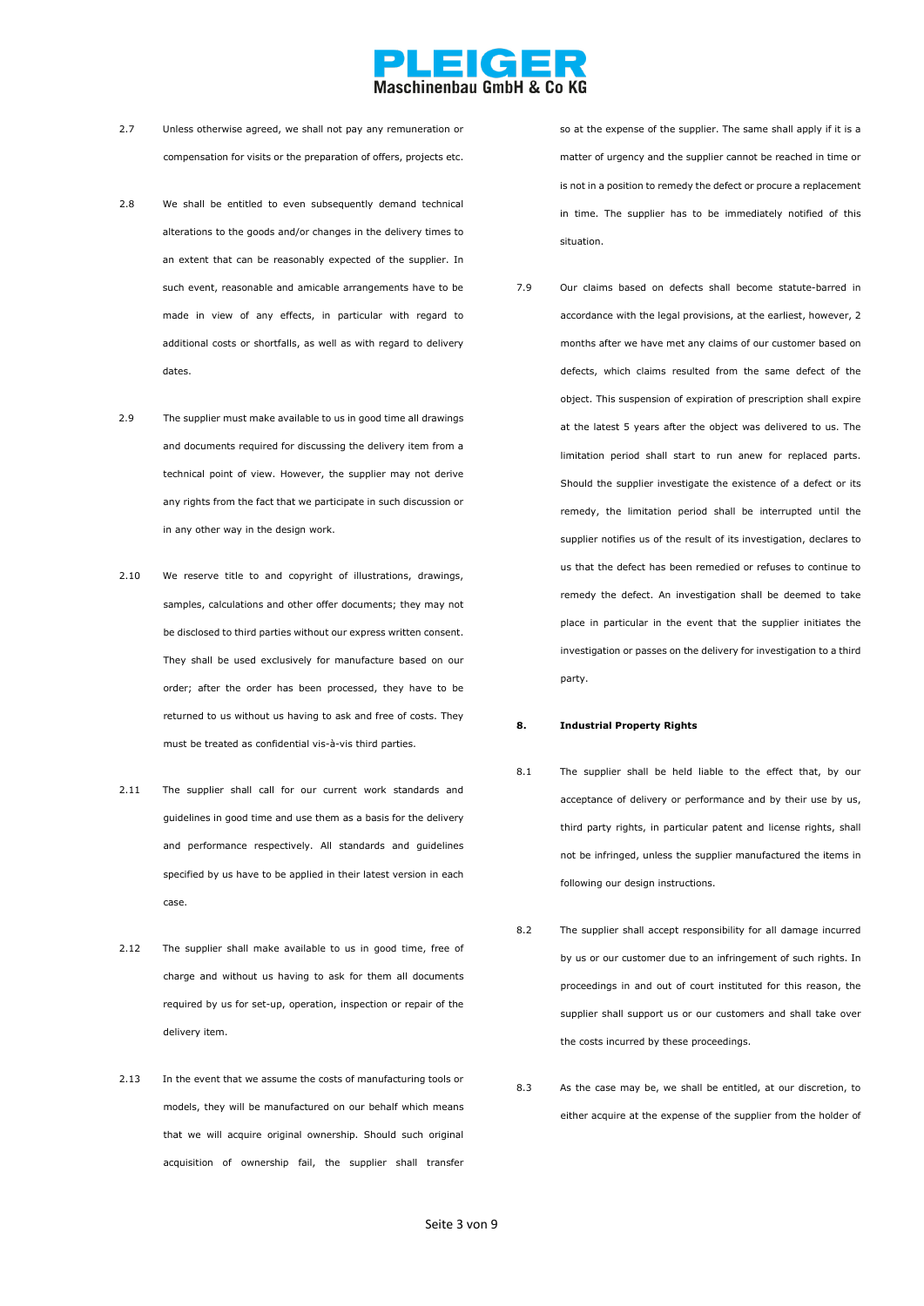

- 2.7 Unless otherwise agreed, we shall not pay any remuneration or compensation for visits or the preparation of offers, projects etc.
- 2.8 We shall be entitled to even subsequently demand technical alterations to the goods and/or changes in the delivery times to an extent that can be reasonably expected of the supplier. In such event, reasonable and amicable arrangements have to be made in view of any effects, in particular with regard to additional costs or shortfalls, as well as with regard to delivery dates.
- 2.9 The supplier must make available to us in good time all drawings and documents required for discussing the delivery item from a technical point of view. However, the supplier may not derive any rights from the fact that we participate in such discussion or in any other way in the design work.
- 2.10 We reserve title to and copyright of illustrations, drawings, samples, calculations and other offer documents; they may not be disclosed to third parties without our express written consent. They shall be used exclusively for manufacture based on our order; after the order has been processed, they have to be returned to us without us having to ask and free of costs. They must be treated as confidential vis-à-vis third parties.
- 2.11 The supplier shall call for our current work standards and guidelines in good time and use them as a basis for the delivery and performance respectively. All standards and guidelines specified by us have to be applied in their latest version in each case.
- 2.12 The supplier shall make available to us in good time, free of charge and without us having to ask for them all documents required by us for set-up, operation, inspection or repair of the delivery item.
- 2.13 In the event that we assume the costs of manufacturing tools or models, they will be manufactured on our behalf which means that we will acquire original ownership. Should such original acquisition of ownership fail, the supplier shall transfer

so at the expense of the supplier. The same shall apply if it is a matter of urgency and the supplier cannot be reached in time or is not in a position to remedy the defect or procure a replacement in time. The supplier has to be immediately notified of this situation.

7.9 Our claims based on defects shall become statute-barred in accordance with the legal provisions, at the earliest, however, 2 months after we have met any claims of our customer based on defects, which claims resulted from the same defect of the object. This suspension of expiration of prescription shall expire at the latest 5 years after the object was delivered to us. The limitation period shall start to run anew for replaced parts. Should the supplier investigate the existence of a defect or its remedy, the limitation period shall be interrupted until the supplier notifies us of the result of its investigation, declares to us that the defect has been remedied or refuses to continue to remedy the defect. An investigation shall be deemed to take place in particular in the event that the supplier initiates the investigation or passes on the delivery for investigation to a third party.

#### **8. Industrial Property Rights**

- 8.1 The supplier shall be held liable to the effect that, by our acceptance of delivery or performance and by their use by us, third party rights, in particular patent and license rights, shall not be infringed, unless the supplier manufactured the items in following our design instructions.
- 8.2 The supplier shall accept responsibility for all damage incurred by us or our customer due to an infringement of such rights. In proceedings in and out of court instituted for this reason, the supplier shall support us or our customers and shall take over the costs incurred by these proceedings.
- 8.3 As the case may be, we shall be entitled, at our discretion, to either acquire at the expense of the supplier from the holder of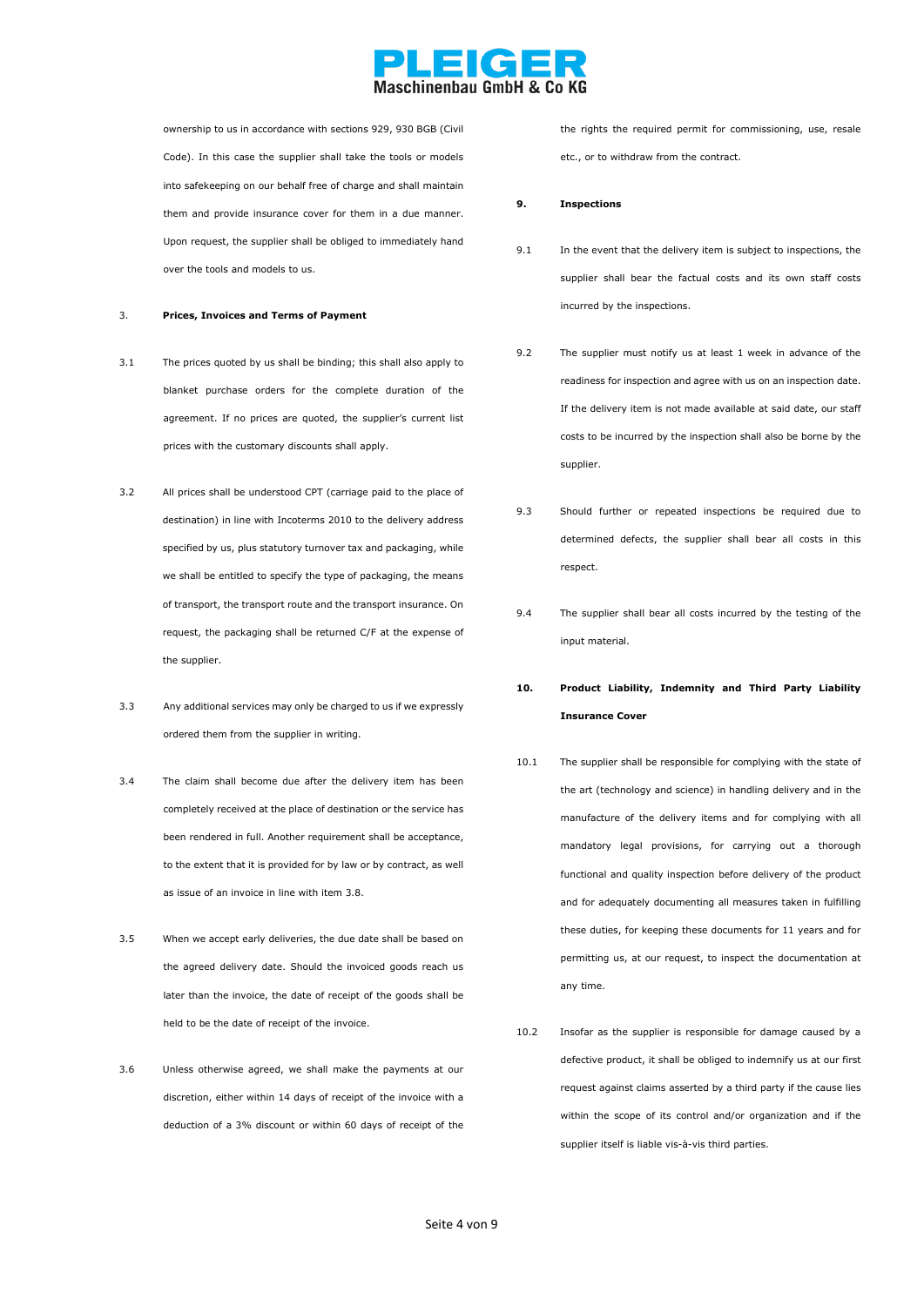

ownership to us in accordance with sections 929, 930 BGB (Civil Code). In this case the supplier shall take the tools or models into safekeeping on our behalf free of charge and shall maintain them and provide insurance cover for them in a due manner. Upon request, the supplier shall be obliged to immediately hand over the tools and models to us.

#### 3. **Prices, Invoices and Terms of Payment**

- 3.1 The prices quoted by us shall be binding; this shall also apply to blanket purchase orders for the complete duration of the agreement. If no prices are quoted, the supplier's current list prices with the customary discounts shall apply.
- 3.2 All prices shall be understood CPT (carriage paid to the place of destination) in line with Incoterms 2010 to the delivery address specified by us, plus statutory turnover tax and packaging, while we shall be entitled to specify the type of packaging, the means of transport, the transport route and the transport insurance. On request, the packaging shall be returned C/F at the expense of the supplier.
- 3.3 Any additional services may only be charged to us if we expressly ordered them from the supplier in writing.
- 3.4 The claim shall become due after the delivery item has been completely received at the place of destination or the service has been rendered in full. Another requirement shall be acceptance, to the extent that it is provided for by law or by contract, as well as issue of an invoice in line with item 3.8.
- 3.5 When we accept early deliveries, the due date shall be based on the agreed delivery date. Should the invoiced goods reach us later than the invoice, the date of receipt of the goods shall be held to be the date of receipt of the invoice.
- 3.6 Unless otherwise agreed, we shall make the payments at our discretion, either within 14 days of receipt of the invoice with a deduction of a 3% discount or within 60 days of receipt of the

the rights the required permit for commissioning, use, resale etc., or to withdraw from the contract.

#### **9. Inspections**

- 9.1 In the event that the delivery item is subject to inspections, the supplier shall bear the factual costs and its own staff costs incurred by the inspections.
- 9.2 The supplier must notify us at least 1 week in advance of the readiness for inspection and agree with us on an inspection date. If the delivery item is not made available at said date, our staff costs to be incurred by the inspection shall also be borne by the supplier.
- 9.3 Should further or repeated inspections be required due to determined defects, the supplier shall bear all costs in this respect.
- 9.4 The supplier shall bear all costs incurred by the testing of the input material.
- **10. Product Liability, Indemnity and Third Party Liability Insurance Cover**
- 10.1 The supplier shall be responsible for complying with the state of the art (technology and science) in handling delivery and in the manufacture of the delivery items and for complying with all mandatory legal provisions, for carrying out a thorough functional and quality inspection before delivery of the product and for adequately documenting all measures taken in fulfilling these duties, for keeping these documents for 11 years and for permitting us, at our request, to inspect the documentation at any time.
- 10.2 Insofar as the supplier is responsible for damage caused by a defective product, it shall be obliged to indemnify us at our first request against claims asserted by a third party if the cause lies within the scope of its control and/or organization and if the supplier itself is liable vis-à-vis third parties.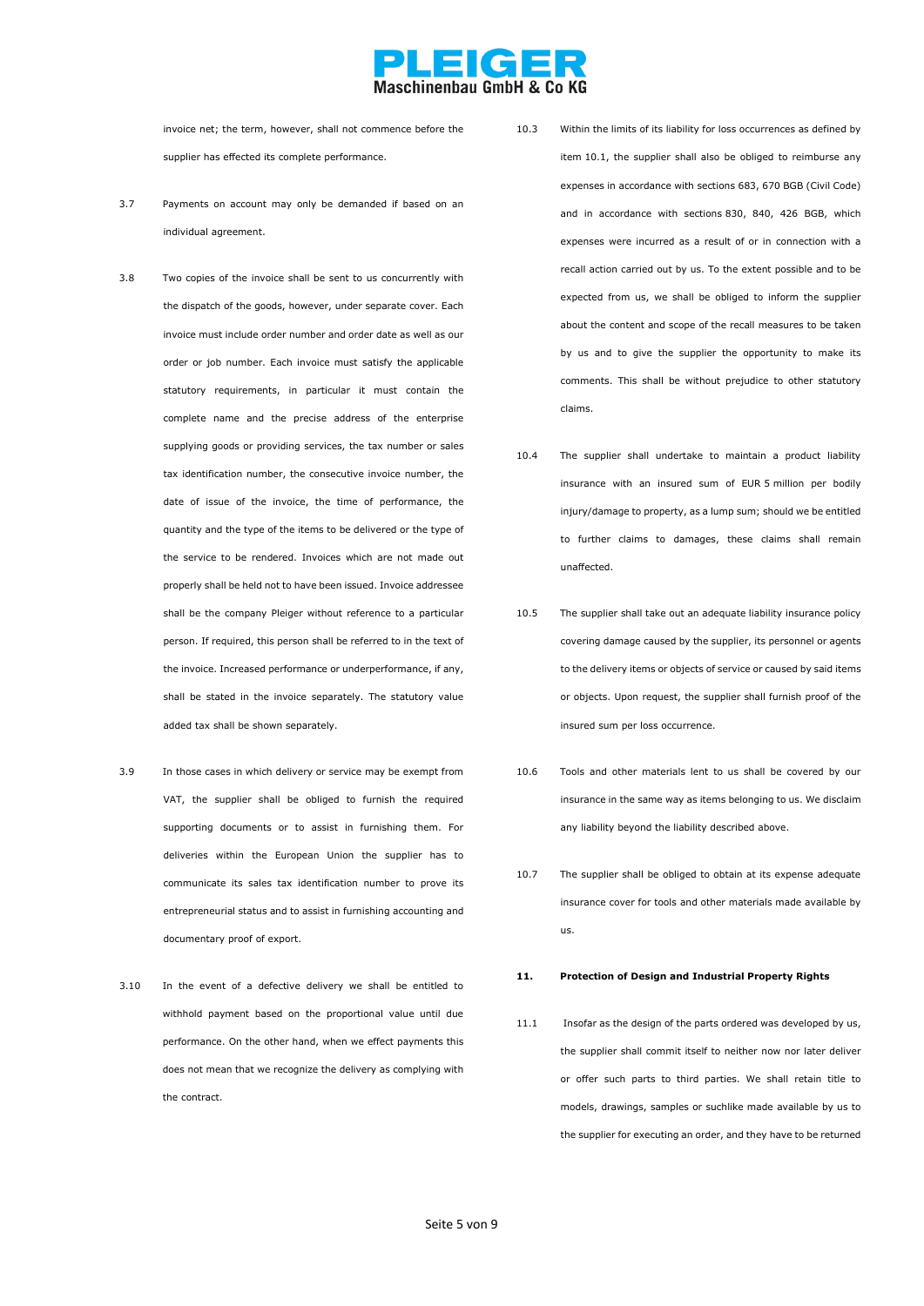## EKCE

invoice net; the term, however, shall not commence before the supplier has effected its complete performance.

- 3.7 Payments on account may only be demanded if based on an individual agreement.
- 3.8 Two copies of the invoice shall be sent to us concurrently with the dispatch of the goods, however, under separate cover. Each invoice must include order number and order date as well as our order or job number. Each invoice must satisfy the applicable statutory requirements, in particular it must contain the complete name and the precise address of the enterprise supplying goods or providing services, the tax number or sales tax identification number, the consecutive invoice number, the date of issue of the invoice, the time of performance, the quantity and the type of the items to be delivered or the type of the service to be rendered. Invoices which are not made out properly shall be held not to have been issued. Invoice addressee shall be the company Pleiger without reference to a particular person. If required, this person shall be referred to in the text of the invoice. Increased performance or underperformance, if any, shall be stated in the invoice separately. The statutory value added tax shall be shown separately.
- 3.9 In those cases in which delivery or service may be exempt from VAT, the supplier shall be obliged to furnish the required supporting documents or to assist in furnishing them. For deliveries within the European Union the supplier has to communicate its sales tax identification number to prove its entrepreneurial status and to assist in furnishing accounting and documentary proof of export.
- 3.10 In the event of a defective delivery we shall be entitled to withhold payment based on the proportional value until due performance. On the other hand, when we effect payments this does not mean that we recognize the delivery as complying with the contract.

10.3 Within the limits of its liability for loss occurrences as defined by item 10.1, the supplier shall also be obliged to reimburse any expenses in accordance with sections 683, 670 BGB (Civil Code) and in accordance with sections 830, 840, 426 BGB, which expenses were incurred as a result of or in connection with a recall action carried out by us. To the extent possible and to be expected from us, we shall be obliged to inform the supplier about the content and scope of the recall measures to be taken by us and to give the supplier the opportunity to make its comments. This shall be without prejudice to other statutory claims.

- 10.4 The supplier shall undertake to maintain a product liability insurance with an insured sum of EUR 5 million per bodily injury/damage to property, as a lump sum; should we be entitled to further claims to damages, these claims shall remain unaffected.
- 10.5 The supplier shall take out an adequate liability insurance policy covering damage caused by the supplier, its personnel or agents to the delivery items or objects of service or caused by said items or objects. Upon request, the supplier shall furnish proof of the insured sum per loss occurrence.
- 10.6 Tools and other materials lent to us shall be covered by our insurance in the same way as items belonging to us. We disclaim any liability beyond the liability described above.
- 10.7 The supplier shall be obliged to obtain at its expense adequate insurance cover for tools and other materials made available by us.

#### **11. Protection of Design and Industrial Property Rights**

11.1 Insofar as the design of the parts ordered was developed by us, the supplier shall commit itself to neither now nor later deliver or offer such parts to third parties. We shall retain title to models, drawings, samples or suchlike made available by us to the supplier for executing an order, and they have to be returned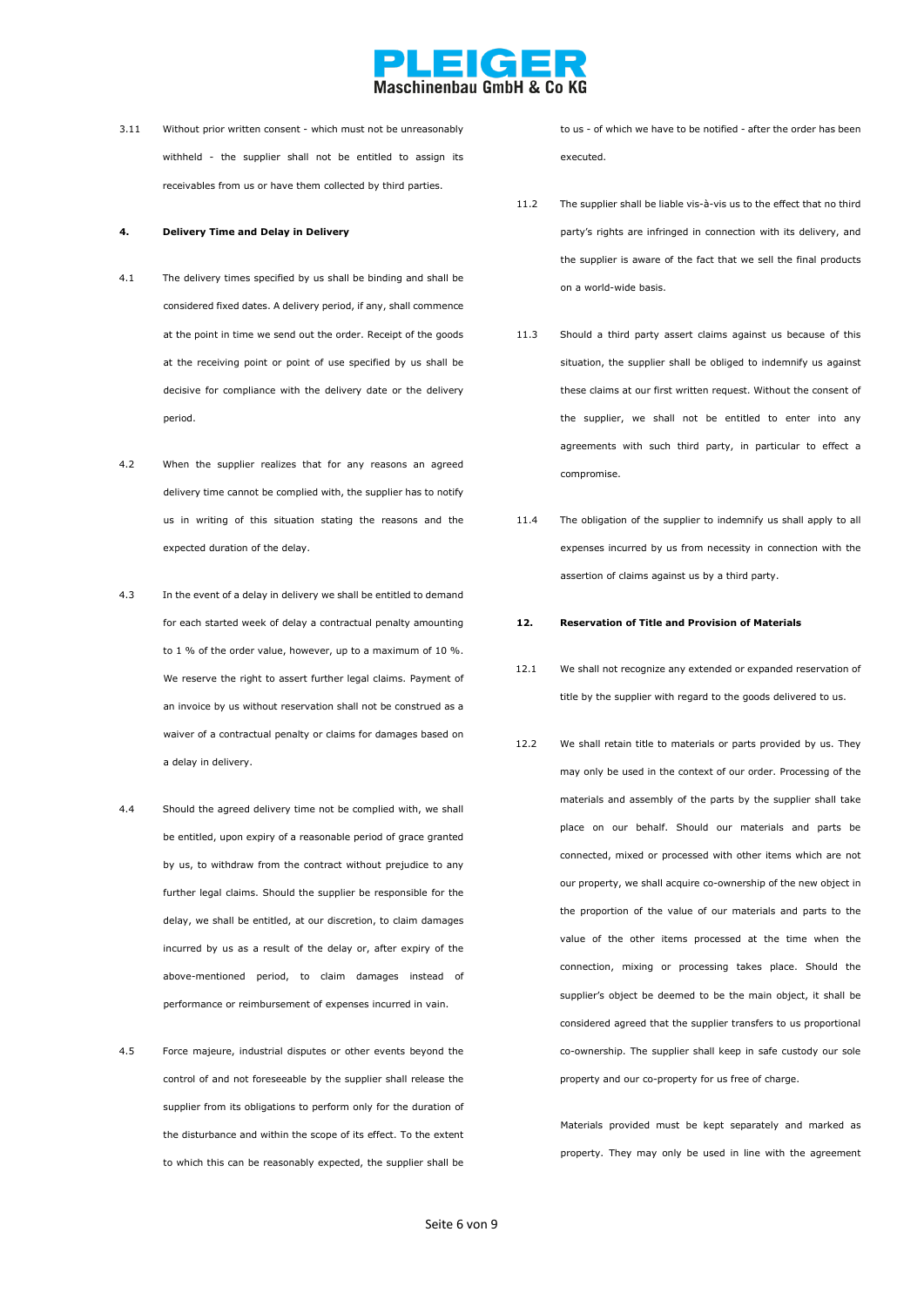

3.11 Without prior written consent - which must not be unreasonably withheld - the supplier shall not be entitled to assign its receivables from us or have them collected by third parties.

#### **4. Delivery Time and Delay in Delivery**

- 4.1 The delivery times specified by us shall be binding and shall be considered fixed dates. A delivery period, if any, shall commence at the point in time we send out the order. Receipt of the goods at the receiving point or point of use specified by us shall be decisive for compliance with the delivery date or the delivery period.
- 4.2 When the supplier realizes that for any reasons an agreed delivery time cannot be complied with, the supplier has to notify us in writing of this situation stating the reasons and the expected duration of the delay.
- 4.3 In the event of a delay in delivery we shall be entitled to demand for each started week of delay a contractual penalty amounting to 1 % of the order value, however, up to a maximum of 10 %. We reserve the right to assert further legal claims. Payment of an invoice by us without reservation shall not be construed as a waiver of a contractual penalty or claims for damages based on a delay in delivery.
- 4.4 Should the agreed delivery time not be complied with, we shall be entitled, upon expiry of a reasonable period of grace granted by us, to withdraw from the contract without prejudice to any further legal claims. Should the supplier be responsible for the delay, we shall be entitled, at our discretion, to claim damages incurred by us as a result of the delay or, after expiry of the above-mentioned period, to claim damages instead of performance or reimbursement of expenses incurred in vain.
- 4.5 Force majeure, industrial disputes or other events beyond the control of and not foreseeable by the supplier shall release the supplier from its obligations to perform only for the duration of the disturbance and within the scope of its effect. To the extent to which this can be reasonably expected, the supplier shall be

to us - of which we have to be notified - after the order has been executed.

- 11.2 The supplier shall be liable vis-à-vis us to the effect that no third party's rights are infringed in connection with its delivery, and the supplier is aware of the fact that we sell the final products on a world-wide basis.
- 11.3 Should a third party assert claims against us because of this situation, the supplier shall be obliged to indemnify us against these claims at our first written request. Without the consent of the supplier, we shall not be entitled to enter into any agreements with such third party, in particular to effect a compromise.
- 11.4 The obligation of the supplier to indemnify us shall apply to all expenses incurred by us from necessity in connection with the assertion of claims against us by a third party.
- **12. Reservation of Title and Provision of Materials**
- 12.1 We shall not recognize any extended or expanded reservation of title by the supplier with regard to the goods delivered to us.
- 12.2 We shall retain title to materials or parts provided by us. They may only be used in the context of our order. Processing of the materials and assembly of the parts by the supplier shall take place on our behalf. Should our materials and parts be connected, mixed or processed with other items which are not our property, we shall acquire co-ownership of the new object in the proportion of the value of our materials and parts to the value of the other items processed at the time when the connection, mixing or processing takes place. Should the supplier's object be deemed to be the main object, it shall be considered agreed that the supplier transfers to us proportional co-ownership. The supplier shall keep in safe custody our sole property and our co-property for us free of charge.

Materials provided must be kept separately and marked as property. They may only be used in line with the agreement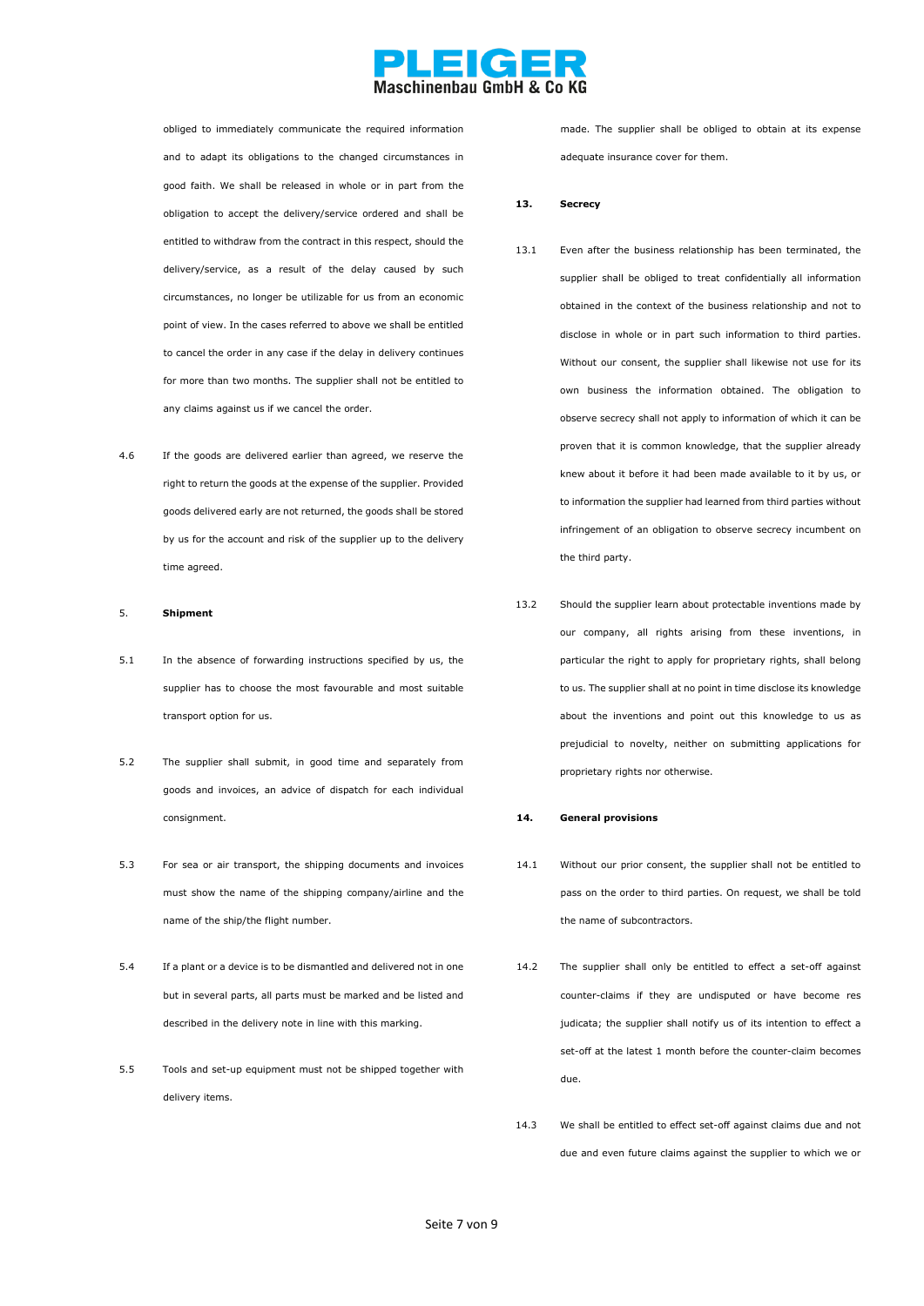

obliged to immediately communicate the required information and to adapt its obligations to the changed circumstances in good faith. We shall be released in whole or in part from the obligation to accept the delivery/service ordered and shall be entitled to withdraw from the contract in this respect, should the delivery/service, as a result of the delay caused by such circumstances, no longer be utilizable for us from an economic point of view. In the cases referred to above we shall be entitled to cancel the order in any case if the delay in delivery continues for more than two months. The supplier shall not be entitled to any claims against us if we cancel the order.

4.6 If the goods are delivered earlier than agreed, we reserve the right to return the goods at the expense of the supplier. Provided goods delivered early are not returned, the goods shall be stored by us for the account and risk of the supplier up to the delivery time agreed.

#### 5. **Shipment**

- 5.1 In the absence of forwarding instructions specified by us, the supplier has to choose the most favourable and most suitable transport option for us.
- 5.2 The supplier shall submit, in good time and separately from goods and invoices, an advice of dispatch for each individual consignment.
- 5.3 For sea or air transport, the shipping documents and invoices must show the name of the shipping company/airline and the name of the ship/the flight number.
- 5.4 If a plant or a device is to be dismantled and delivered not in one but in several parts, all parts must be marked and be listed and described in the delivery note in line with this marking.
- 5.5 Tools and set-up equipment must not be shipped together with delivery items.

made. The supplier shall be obliged to obtain at its expense adequate insurance cover for them.

#### **13. Secrecy**

- 13.1 Even after the business relationship has been terminated, the supplier shall be obliged to treat confidentially all information obtained in the context of the business relationship and not to disclose in whole or in part such information to third parties. Without our consent, the supplier shall likewise not use for its own business the information obtained. The obligation to observe secrecy shall not apply to information of which it can be proven that it is common knowledge, that the supplier already knew about it before it had been made available to it by us, or to information the supplier had learned from third parties without infringement of an obligation to observe secrecy incumbent on the third party.
- 13.2 Should the supplier learn about protectable inventions made by our company, all rights arising from these inventions, in particular the right to apply for proprietary rights, shall belong to us. The supplier shall at no point in time disclose its knowledge about the inventions and point out this knowledge to us as prejudicial to novelty, neither on submitting applications for proprietary rights nor otherwise.

#### **14. General provisions**

- 14.1 Without our prior consent, the supplier shall not be entitled to pass on the order to third parties. On request, we shall be told the name of subcontractors.
- 14.2 The supplier shall only be entitled to effect a set-off against counter-claims if they are undisputed or have become res judicata; the supplier shall notify us of its intention to effect a set-off at the latest 1 month before the counter-claim becomes due.
- 14.3 We shall be entitled to effect set-off against claims due and not due and even future claims against the supplier to which we or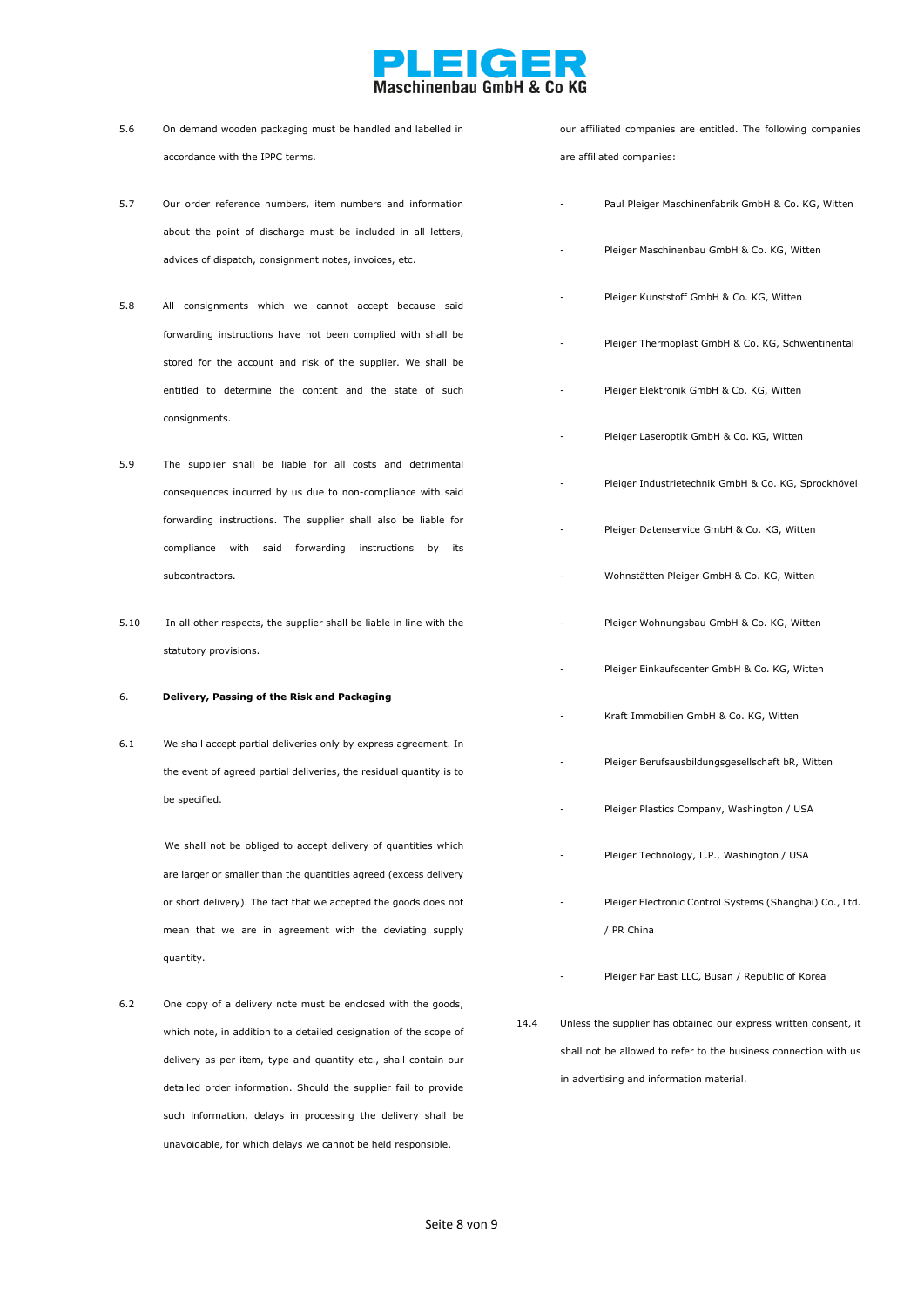# **DECER**<br>Maschinenbau GmbH & Co KG

| 5.6  | On demand wooden packaging must be handled and labelled in                                                                              |      | our affiliated companies are entitled. The following companies   |
|------|-----------------------------------------------------------------------------------------------------------------------------------------|------|------------------------------------------------------------------|
|      | accordance with the IPPC terms.                                                                                                         |      | are affiliated companies:                                        |
| 5.7  | Our order reference numbers, item numbers and information                                                                               |      | Paul Pleiger Maschinenfabrik GmbH & Co. KG, Witten               |
|      | about the point of discharge must be included in all letters,<br>advices of dispatch, consignment notes, invoices, etc.                 |      | Pleiger Maschinenbau GmbH & Co. KG, Witten                       |
| 5.8  | All consignments which we cannot accept because said                                                                                    |      | Pleiger Kunststoff GmbH & Co. KG, Witten                         |
|      | forwarding instructions have not been complied with shall be                                                                            |      | Pleiger Thermoplast GmbH & Co. KG, Schwentinental                |
|      | stored for the account and risk of the supplier. We shall be<br>entitled to determine the content and the state of such                 |      | Pleiger Elektronik GmbH & Co. KG, Witten                         |
|      | consignments.                                                                                                                           |      | Pleiger Laseroptik GmbH & Co. KG, Witten                         |
| 5.9  | The supplier shall be liable for all costs and detrimental<br>consequences incurred by us due to non-compliance with said               |      | Pleiger Industrietechnik GmbH & Co. KG, Sprockhövel              |
|      | forwarding instructions. The supplier shall also be liable for                                                                          |      | Pleiger Datenservice GmbH & Co. KG, Witten                       |
|      | compliance with said forwarding<br>instructions<br>its<br>by<br>subcontractors.                                                         |      | Wohnstätten Pleiger GmbH & Co. KG, Witten                        |
| 5.10 | In all other respects, the supplier shall be liable in line with the                                                                    |      | Pleiger Wohnungsbau GmbH & Co. KG, Witten                        |
|      | statutory provisions.                                                                                                                   |      | Pleiger Einkaufscenter GmbH & Co. KG, Witten                     |
| 6.   | Delivery, Passing of the Risk and Packaging                                                                                             |      | Kraft Immobilien GmbH & Co. KG, Witten                           |
| 6.1  | We shall accept partial deliveries only by express agreement. In<br>the event of agreed partial deliveries, the residual quantity is to |      | Pleiger Berufsausbildungsgesellschaft bR, Witten                 |
|      | be specified.                                                                                                                           |      | Pleiger Plastics Company, Washington / USA                       |
|      | We shall not be obliged to accept delivery of quantities which<br>are larger or smaller than the quantities agreed (excess delivery     |      | Pleiger Technology, L.P., Washington / USA                       |
|      | or short delivery). The fact that we accepted the goods does not                                                                        |      | Pleiger Electronic Control Systems (Shanghai) Co., Ltd.          |
|      | mean that we are in agreement with the deviating supply                                                                                 |      | / PR China                                                       |
|      | quantity.                                                                                                                               |      | Pleiger Far East LLC, Busan / Republic of Korea                  |
| 6.2  | One copy of a delivery note must be enclosed with the goods,                                                                            | 14.4 | Unless the supplier has obtained our express written consent, it |
|      | which note, in addition to a detailed designation of the scope of<br>delivery as per item, type and quantity etc., shall contain our    |      | shall not be allowed to refer to the business connection with us |
|      |                                                                                                                                         |      | in advertising and information material.                         |

detailed order information. Should the supplier fail to provide such information, delays in processing the delivery shall be unavoidable, for which delays we cannot be held responsible.